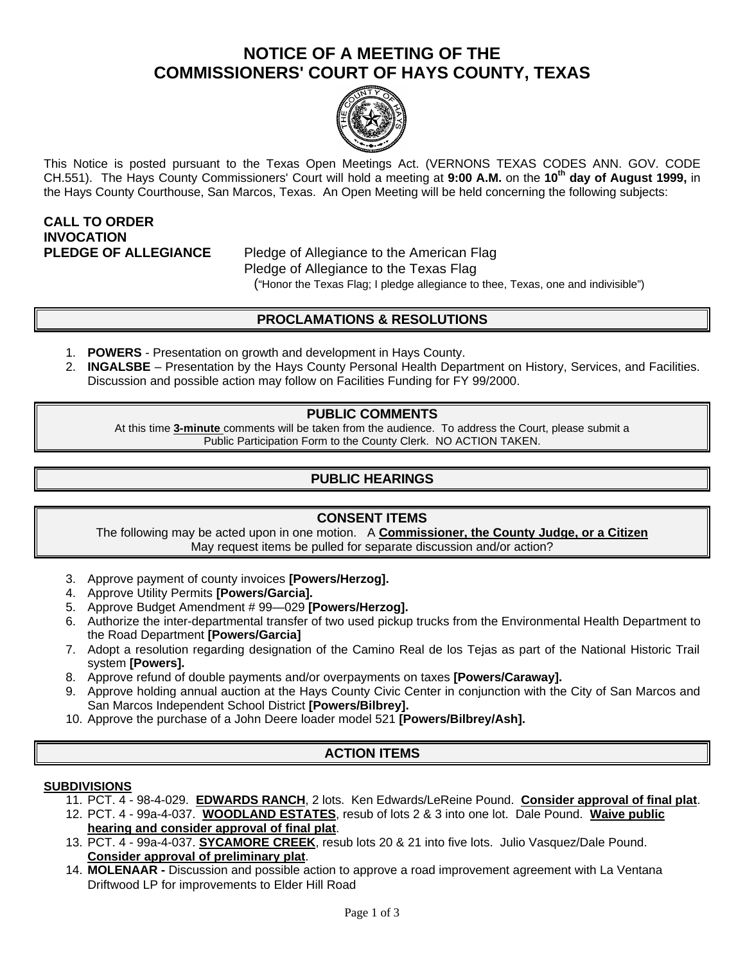# **NOTICE OF A MEETING OF THE COMMISSIONERS' COURT OF HAYS COUNTY, TEXAS**



This Notice is posted pursuant to the Texas Open Meetings Act. (VERNONS TEXAS CODES ANN. GOV. CODE CH.551). The Hays County Commissioners' Court will hold a meeting at **9:00 A.M.** on the **10th day of August 1999,** in the Hays County Courthouse, San Marcos, Texas. An Open Meeting will be held concerning the following subjects:

# **CALL TO ORDER INVOCATION**

**PLEDGE OF ALLEGIANCE** Pledge of Allegiance to the American Flag Pledge of Allegiance to the Texas Flag ("Honor the Texas Flag; I pledge allegiance to thee, Texas, one and indivisible")

## **PROCLAMATIONS & RESOLUTIONS**

- **POWERS** Presentation on growth and development in Hays County.
- 2. **INGALSBE**  Presentation by the Hays County Personal Health Department on History, Services, and Facilities. Discussion and possible action may follow on Facilities Funding for FY 99/2000.

### **PUBLIC COMMENTS**

At this time **3-minute** comments will be taken from the audience. To address the Court, please submit a Public Participation Form to the County Clerk. NO ACTION TAKEN.

## **PUBLIC HEARINGS**

#### **CONSENT ITEMS**

The following may be acted upon in one motion. A **Commissioner, the County Judge, or a Citizen** May request items be pulled for separate discussion and/or action?

- 3. Approve payment of county invoices **[Powers/Herzog].**
- 4. Approve Utility Permits **[Powers/Garcia].**
- 5. Approve Budget Amendment # 99—029 **[Powers/Herzog].**
- 6. Authorize the inter-departmental transfer of two used pickup trucks from the Environmental Health Department to the Road Department **[Powers/Garcia]**
- 7. Adopt a resolution regarding designation of the Camino Real de los Tejas as part of the National Historic Trail system **[Powers].**
- 8. Approve refund of double payments and/or overpayments on taxes **[Powers/Caraway].**
- 9. Approve holding annual auction at the Hays County Civic Center in conjunction with the City of San Marcos and San Marcos Independent School District **[Powers/Bilbrey].**
- 10. Approve the purchase of a John Deere loader model 521 **[Powers/Bilbrey/Ash].**

### **ACTION ITEMS**

#### **SUBDIVISIONS**

- 11. PCT. 4 98-4-029. **EDWARDS RANCH**, 2 lots. Ken Edwards/LeReine Pound. **Consider approval of final plat**.
- 12. PCT. 4 99a-4-037. **WOODLAND ESTATES**, resub of lots 2 & 3 into one lot. Dale Pound. **Waive public hearing and consider approval of final plat**.
- 13. PCT. 4 99a-4-037. **SYCAMORE CREEK**, resub lots 20 & 21 into five lots. Julio Vasquez/Dale Pound. **Consider approval of preliminary plat**.
- 14. **MOLENAAR -** Discussion and possible action to approve a road improvement agreement with La Ventana Driftwood LP for improvements to Elder Hill Road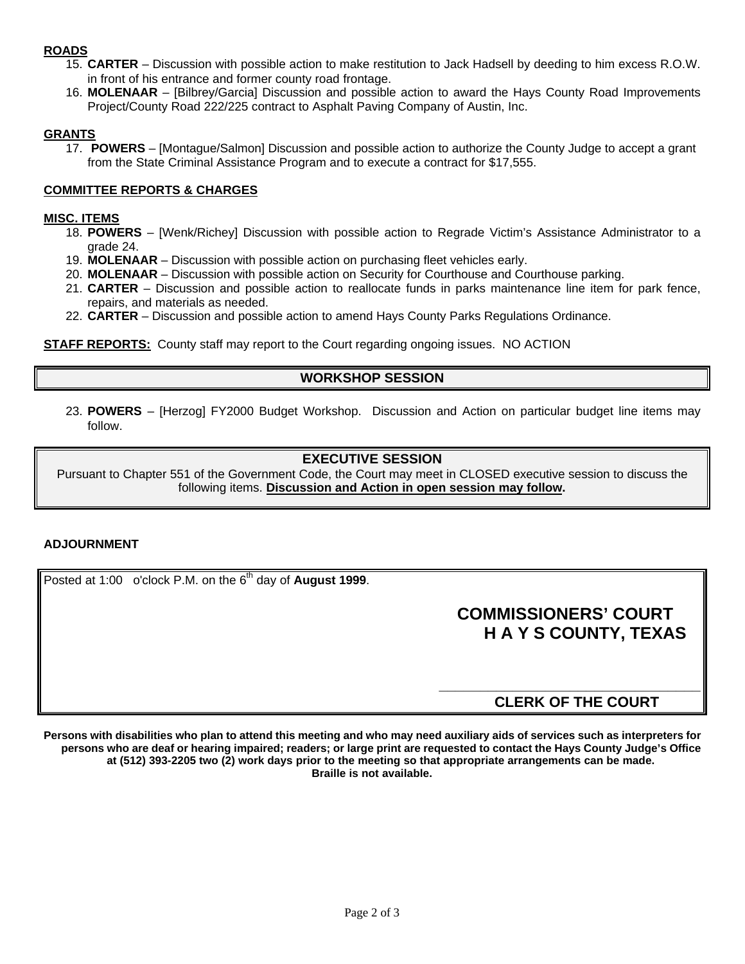### **ROADS**

- 15. **CARTER** Discussion with possible action to make restitution to Jack Hadsell by deeding to him excess R.O.W. in front of his entrance and former county road frontage.
- 16. **MOLENAAR**  [Bilbrey/Garcia] Discussion and possible action to award the Hays County Road Improvements Project/County Road 222/225 contract to Asphalt Paving Company of Austin, Inc.

#### **GRANTS**

17. **POWERS** – [Montague/Salmon] Discussion and possible action to authorize the County Judge to accept a grant from the State Criminal Assistance Program and to execute a contract for \$17,555.

#### **COMMITTEE REPORTS & CHARGES**

#### **MISC. ITEMS**

- 18. **POWERS** [Wenk/Richey] Discussion with possible action to Regrade Victim's Assistance Administrator to a grade 24.
- 19. **MOLENAAR**  Discussion with possible action on purchasing fleet vehicles early.
- 20. **MOLENAAR**  Discussion with possible action on Security for Courthouse and Courthouse parking.
- 21. **CARTER**  Discussion and possible action to reallocate funds in parks maintenance line item for park fence, repairs, and materials as needed.
- 22. **CARTER**  Discussion and possible action to amend Hays County Parks Regulations Ordinance.

**STAFF REPORTS:** County staff may report to the Court regarding ongoing issues. NO ACTION

### **WORKSHOP SESSION**

23. **POWERS** – [Herzog] FY2000 Budget Workshop. Discussion and Action on particular budget line items may follow.

#### **EXECUTIVE SESSION**

Pursuant to Chapter 551 of the Government Code, the Court may meet in CLOSED executive session to discuss the following items. **Discussion and Action in open session may follow.**

#### **ADJOURNMENT**

Posted at 1:00 o'clock P.M. on the 6<sup>th</sup> day of **August 1999**.

# **COMMISSIONERS' COURT H A Y S COUNTY, TEXAS**

## **CLERK OF THE COURT**

**\_\_\_\_\_\_\_\_\_\_\_\_\_\_\_\_\_\_\_\_\_\_\_\_\_\_\_\_\_\_\_\_**

**Persons with disabilities who plan to attend this meeting and who may need auxiliary aids of services such as interpreters for persons who are deaf or hearing impaired; readers; or large print are requested to contact the Hays County Judge's Office at (512) 393-2205 two (2) work days prior to the meeting so that appropriate arrangements can be made. Braille is not available.**